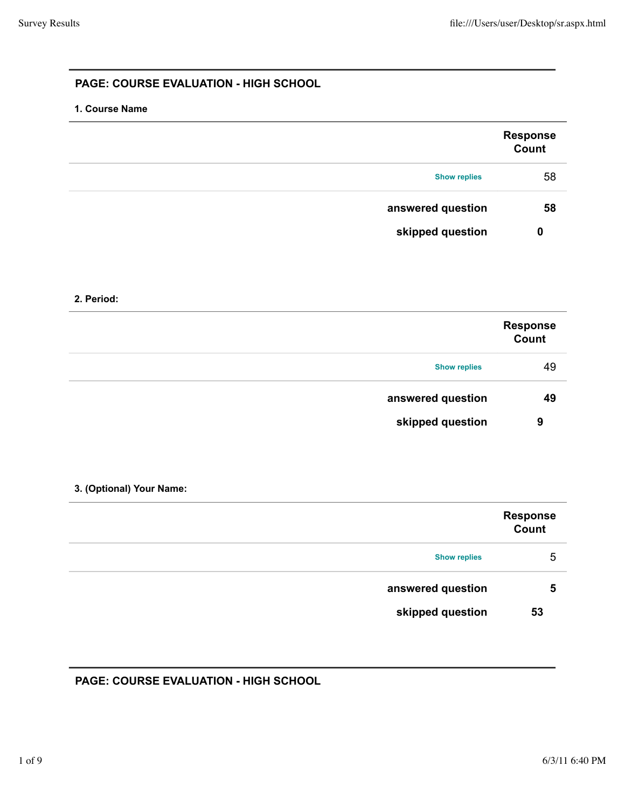# **PAGE: COURSE EVALUATION - HIGH SCHOOL**

#### **1. Course Name**

|                     | <b>Response</b><br>Count |
|---------------------|--------------------------|
| <b>Show replies</b> | 58                       |
| answered question   | 58                       |
| skipped question    | 0                        |

#### **2. Period:**

|                     | <b>Response</b><br>Count |
|---------------------|--------------------------|
| <b>Show replies</b> | 49                       |
| answered question   | 49                       |
| skipped question    | 9                        |

#### **3. (Optional) Your Name:**

|                     | <b>Response</b><br>Count |
|---------------------|--------------------------|
| <b>Show replies</b> | 5                        |
| answered question   | 5                        |
| skipped question    | 53                       |

# **PAGE: COURSE EVALUATION - HIGH SCHOOL**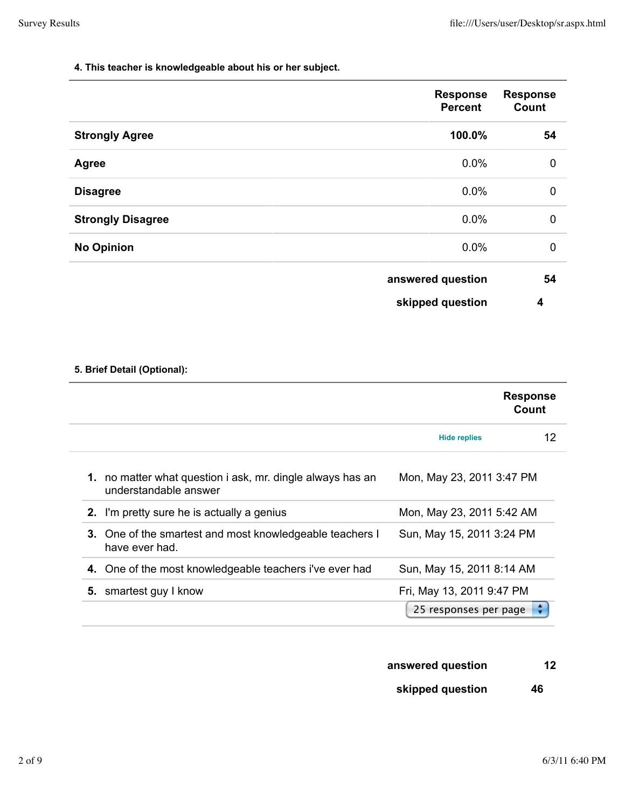#### **4. This teacher is knowledgeable about his or her subject.**

|                          | <b>Response</b><br><b>Percent</b> | <b>Response</b><br>Count |
|--------------------------|-----------------------------------|--------------------------|
| <b>Strongly Agree</b>    | 100.0%                            | 54                       |
| <b>Agree</b>             | 0.0%                              | $\mathbf 0$              |
| <b>Disagree</b>          | 0.0%                              | $\mathbf 0$              |
| <b>Strongly Disagree</b> | 0.0%                              | $\mathbf 0$              |
| <b>No Opinion</b>        | 0.0%                              | $\mathbf 0$              |
|                          | answered question                 | 54                       |
|                          | skipped question                  | 4                        |

# **5. Brief Detail (Optional):**

|                                                                                     |                           | <b>Response</b><br>Count |
|-------------------------------------------------------------------------------------|---------------------------|--------------------------|
|                                                                                     | <b>Hide replies</b>       | 12                       |
| 1. no matter what question i ask, mr. dingle always has an<br>understandable answer | Mon, May 23, 2011 3:47 PM |                          |
| 2. I'm pretty sure he is actually a genius                                          | Mon, May 23, 2011 5:42 AM |                          |
| 3. One of the smartest and most knowledgeable teachers I<br>have ever had.          | Sun, May 15, 2011 3:24 PM |                          |
| 4. One of the most knowledgeable teachers i've ever had                             | Sun, May 15, 2011 8:14 AM |                          |
| 5. smartest guy I know                                                              | Fri, May 13, 2011 9:47 PM |                          |
|                                                                                     | 25 responses per page     |                          |

# **answered question 12**

# **skipped question 46**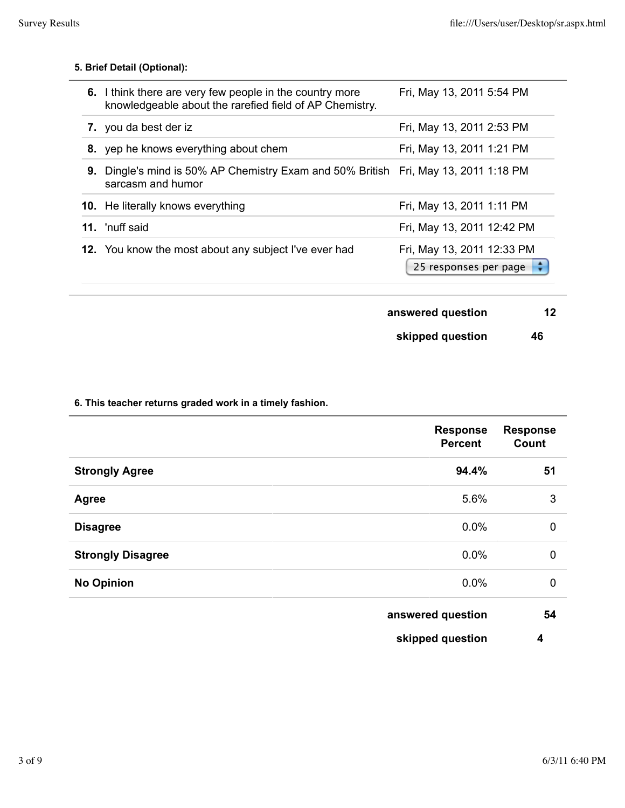|    | 6. I think there are very few people in the country more<br>knowledgeable about the rarefied field of AP Chemistry. | Fri, May 13, 2011 5:54 PM                           |
|----|---------------------------------------------------------------------------------------------------------------------|-----------------------------------------------------|
|    | 7. you da best der iz                                                                                               | Fri, May 13, 2011 2:53 PM                           |
|    | 8. yep he knows everything about chem                                                                               | Fri, May 13, 2011 1:21 PM                           |
| 9. | Dingle's mind is 50% AP Chemistry Exam and 50% British Fri, May 13, 2011 1:18 PM<br>sarcasm and humor               |                                                     |
|    | <b>10.</b> He literally knows everything                                                                            | Fri, May 13, 2011 1:11 PM                           |
|    | <b>11.</b> 'nuff said                                                                                               | Fri, May 13, 2011 12:42 PM                          |
|    | 12. You know the most about any subject I've ever had                                                               | Fri, May 13, 2011 12:33 PM<br>25 responses per page |

**answered question 12**

**skipped question 46**

**6. This teacher returns graded work in a timely fashion.**

|                          | <b>Response</b><br><b>Percent</b> | <b>Response</b><br><b>Count</b> |
|--------------------------|-----------------------------------|---------------------------------|
| <b>Strongly Agree</b>    | 94.4%                             | 51                              |
| <b>Agree</b>             | 5.6%                              | 3                               |
| <b>Disagree</b>          | 0.0%                              | $\mathbf 0$                     |
| <b>Strongly Disagree</b> | 0.0%                              | $\mathbf 0$                     |
| <b>No Opinion</b>        | 0.0%                              | $\mathbf 0$                     |
|                          | answered question                 | 54                              |
|                          | skipped question                  | 4                               |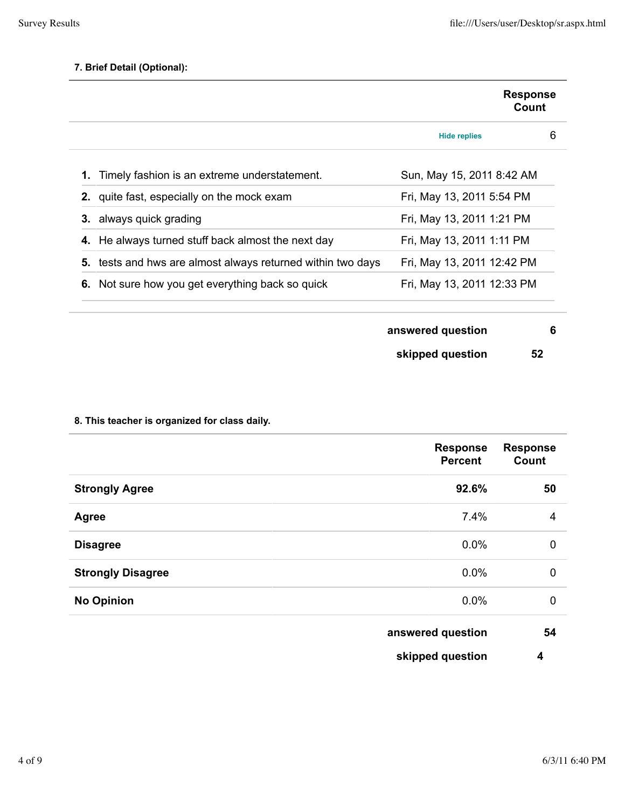|                                                             | <b>Response</b><br>Count   |   |
|-------------------------------------------------------------|----------------------------|---|
|                                                             | <b>Hide replies</b>        | 6 |
| 1. Timely fashion is an extreme understatement.             | Sun, May 15, 2011 8:42 AM  |   |
| <b>2.</b> quite fast, especially on the mock exam           | Fri, May 13, 2011 5:54 PM  |   |
| <b>3.</b> always quick grading                              | Fri, May 13, 2011 1:21 PM  |   |
| 4. He always turned stuff back almost the next day          | Fri, May 13, 2011 1:11 PM  |   |
| 5. tests and hws are almost always returned within two days | Fri, May 13, 2011 12:42 PM |   |
| 6. Not sure how you get everything back so quick            | Fri, May 13, 2011 12:33 PM |   |

| answered question |  |  |
|-------------------|--|--|
|                   |  |  |

```
skipped question 52
```
# **8. This teacher is organized for class daily.**

|                          | <b>Response</b><br><b>Percent</b> | <b>Response</b><br><b>Count</b> |
|--------------------------|-----------------------------------|---------------------------------|
| <b>Strongly Agree</b>    | 92.6%                             | 50                              |
| <b>Agree</b>             | 7.4%                              | 4                               |
| <b>Disagree</b>          | 0.0%                              | $\mathbf 0$                     |
| <b>Strongly Disagree</b> | 0.0%                              | 0                               |
| <b>No Opinion</b>        | 0.0%                              | 0                               |
|                          |                                   |                                 |

| answered question | 54 |
|-------------------|----|
|-------------------|----|

**skipped question 4**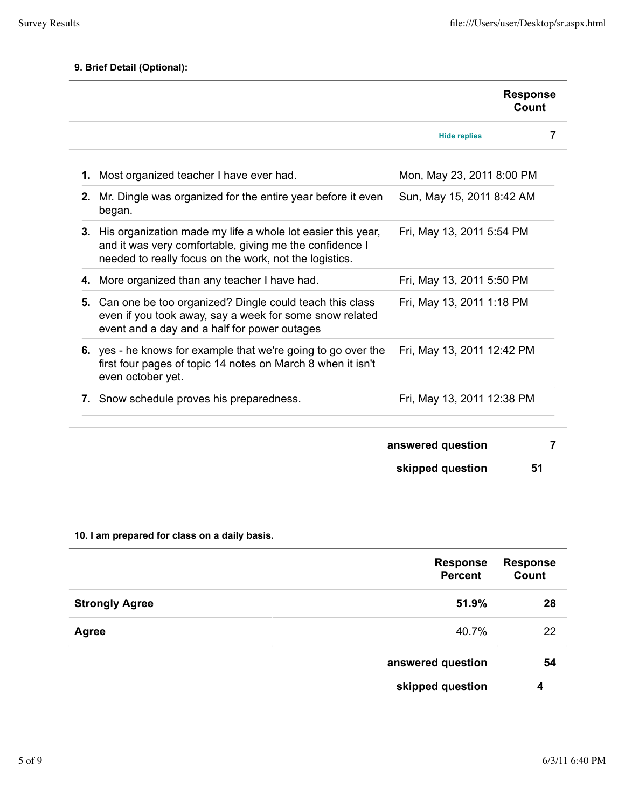|    |                                                                                                                                                                                     | <b>Response</b><br>Count   |   |
|----|-------------------------------------------------------------------------------------------------------------------------------------------------------------------------------------|----------------------------|---|
|    |                                                                                                                                                                                     | <b>Hide replies</b>        | 7 |
|    | 1. Most organized teacher I have ever had.                                                                                                                                          | Mon, May 23, 2011 8:00 PM  |   |
| 2. | Mr. Dingle was organized for the entire year before it even<br>began.                                                                                                               | Sun, May 15, 2011 8:42 AM  |   |
|    | 3. His organization made my life a whole lot easier this year,<br>and it was very comfortable, giving me the confidence I<br>needed to really focus on the work, not the logistics. | Fri, May 13, 2011 5:54 PM  |   |
|    | 4. More organized than any teacher I have had.                                                                                                                                      | Fri, May 13, 2011 5:50 PM  |   |
|    | 5. Can one be too organized? Dingle could teach this class<br>even if you took away, say a week for some snow related<br>event and a day and a half for power outages               | Fri, May 13, 2011 1:18 PM  |   |
|    | 6. yes - he knows for example that we're going to go over the<br>first four pages of topic 14 notes on March 8 when it isn't<br>even october yet.                                   | Fri, May 13, 2011 12:42 PM |   |
|    | 7. Snow schedule proves his preparedness.                                                                                                                                           | Fri, May 13, 2011 12:38 PM |   |
|    |                                                                                                                                                                                     | answered question          | 7 |
|    |                                                                                                                                                                                     | skipped question<br>51     |   |

# **10. I am prepared for class on a daily basis.**

|                       | <b>Response</b><br><b>Percent</b> | <b>Response</b><br>Count |
|-----------------------|-----------------------------------|--------------------------|
| <b>Strongly Agree</b> | 51.9%                             | 28                       |
| Agree                 | 40.7%                             | 22                       |
|                       | answered question                 | 54                       |
|                       | skipped question                  | 4                        |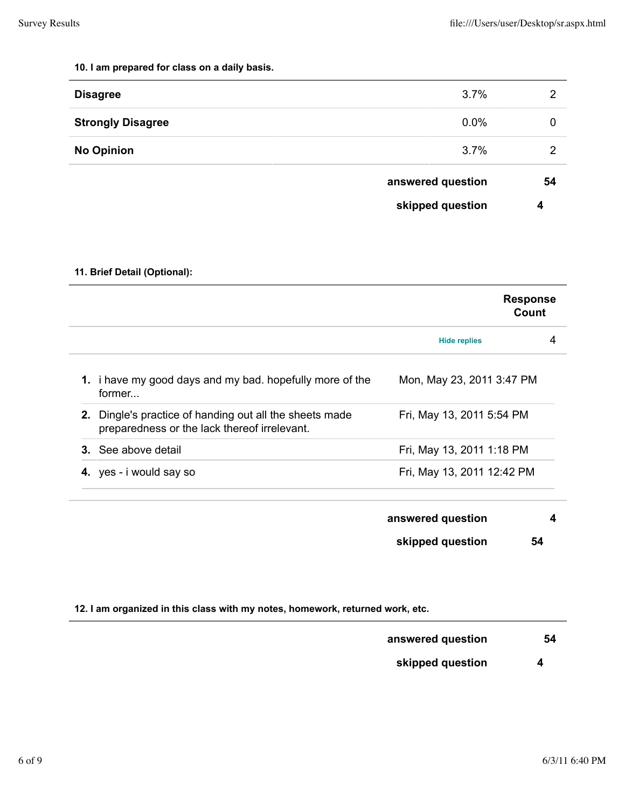### **10. I am prepared for class on a daily basis.**

|                          | skipped question  | 4  |
|--------------------------|-------------------|----|
|                          | answered question | 54 |
| <b>No Opinion</b>        | 3.7%              | 2  |
| <b>Strongly Disagree</b> | 0.0%              | 0  |
| <b>Disagree</b>          | 3.7%              | 2  |

# **11. Brief Detail (Optional):**

|                            |                                                                                                         |                            | <b>Response</b><br>Count |  |
|----------------------------|---------------------------------------------------------------------------------------------------------|----------------------------|--------------------------|--|
|                            |                                                                                                         | <b>Hide replies</b>        | 4                        |  |
| former                     | 1. i have my good days and my bad. hopefully more of the                                                | Mon, May 23, 2011 3:47 PM  |                          |  |
|                            | 2. Dingle's practice of handing out all the sheets made<br>preparedness or the lack thereof irrelevant. | Fri, May 13, 2011 5:54 PM  |                          |  |
| <b>3.</b> See above detail |                                                                                                         | Fri, May 13, 2011 1:18 PM  |                          |  |
| 4. yes - i would say so    |                                                                                                         | Fri, May 13, 2011 12:42 PM |                          |  |
|                            |                                                                                                         |                            |                          |  |

| answered question |    |
|-------------------|----|
| skipped question  | 54 |

|  |  |  | 12. I am organized in this class with my notes, homework, returned work, etc. |  |
|--|--|--|-------------------------------------------------------------------------------|--|
|  |  |  |                                                                               |  |

| answered question |  |  | -54 |
|-------------------|--|--|-----|
|                   |  |  |     |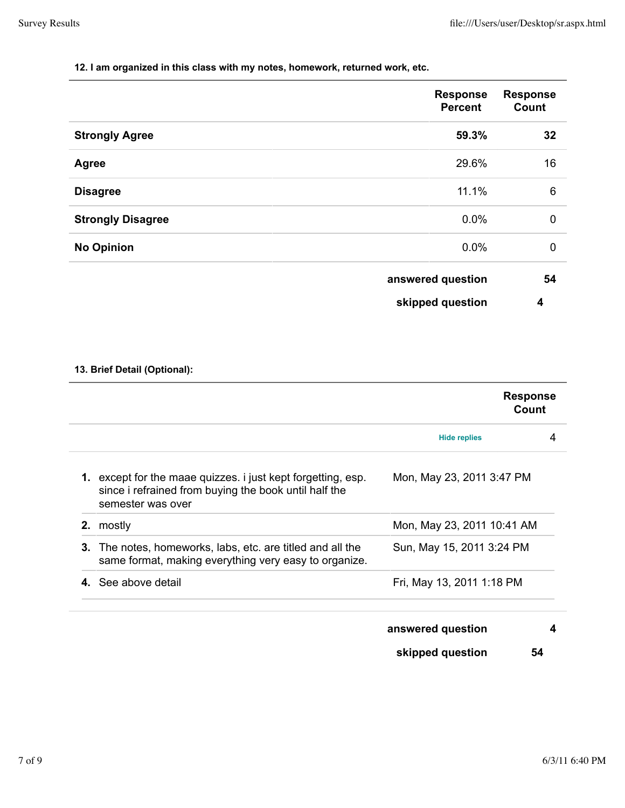#### **12. I am organized in this class with my notes, homework, returned work, etc.**

|                          | <b>Response</b><br><b>Percent</b> | <b>Response</b><br>Count |
|--------------------------|-----------------------------------|--------------------------|
| <b>Strongly Agree</b>    | 59.3%                             | 32                       |
| <b>Agree</b>             | 29.6%                             | 16                       |
| <b>Disagree</b>          | 11.1%                             | $6\phantom{1}6$          |
| <b>Strongly Disagree</b> | 0.0%                              | $\mathbf 0$              |
| <b>No Opinion</b>        | 0.0%                              | $\mathbf 0$              |
|                          | answered question                 | 54                       |
|                          | skipped question                  | 4                        |

# **13. Brief Detail (Optional):**

|                                                                                                                                                   |                            | <b>Response</b><br>Count |
|---------------------------------------------------------------------------------------------------------------------------------------------------|----------------------------|--------------------------|
|                                                                                                                                                   | <b>Hide replies</b>        | 4                        |
| <b>1.</b> except for the maae quizzes. i just kept forgetting, esp.<br>since i refrained from buying the book until half the<br>semester was over | Mon, May 23, 2011 3:47 PM  |                          |
| mostly<br>2.                                                                                                                                      | Mon, May 23, 2011 10:41 AM |                          |
| 3.<br>The notes, homeworks, labs, etc. are titled and all the<br>same format, making everything very easy to organize.                            | Sun, May 15, 2011 3:24 PM  |                          |
| 4. See above detail                                                                                                                               | Fri, May 13, 2011 1:18 PM  |                          |
|                                                                                                                                                   | answered question          | 4                        |
|                                                                                                                                                   | skipped question           | 54                       |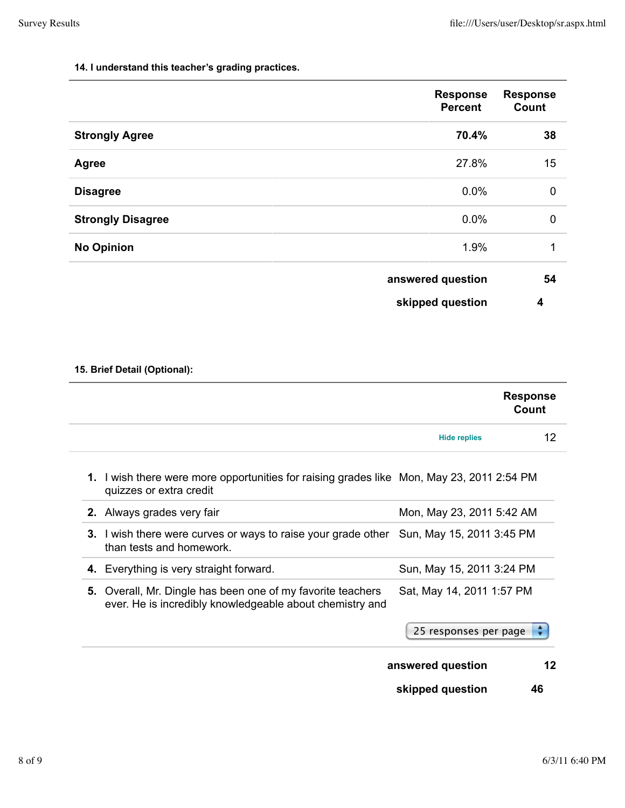#### **14. I understand this teacher's grading practices.**

|                          | <b>Response</b><br><b>Percent</b> | <b>Response</b><br>Count |
|--------------------------|-----------------------------------|--------------------------|
| <b>Strongly Agree</b>    | 70.4%                             | 38                       |
| Agree                    | 27.8%                             | 15                       |
| <b>Disagree</b>          | 0.0%                              | $\mathbf 0$              |
| <b>Strongly Disagree</b> | 0.0%                              | $\pmb{0}$                |
| <b>No Opinion</b>        | 1.9%                              | 1                        |
|                          | answered question                 | 54                       |
|                          | skipped question                  | 4                        |

# **15. Brief Detail (Optional):**

|                                                                                                                         | <b>Response</b><br>Count  |                 |
|-------------------------------------------------------------------------------------------------------------------------|---------------------------|-----------------|
|                                                                                                                         | <b>Hide replies</b>       | 12 <sup>°</sup> |
| 1. I wish there were more opportunities for raising grades like Mon, May 23, 2011 2:54 PM<br>quizzes or extra credit    |                           |                 |
| 2. Always grades very fair                                                                                              | Mon, May 23, 2011 5:42 AM |                 |
| 3. I wish there were curves or ways to raise your grade other Sun, May 15, 2011 3:45 PM<br>than tests and homework.     |                           |                 |
| 4. Everything is very straight forward.                                                                                 | Sun, May 15, 2011 3:24 PM |                 |
| 5. Overall, Mr. Dingle has been one of my favorite teachers<br>ever. He is incredibly knowledgeable about chemistry and | Sat, May 14, 2011 1:57 PM |                 |
|                                                                                                                         | 25 responses per page     |                 |
|                                                                                                                         | answered question         | 12              |
|                                                                                                                         | skipped question<br>46    |                 |